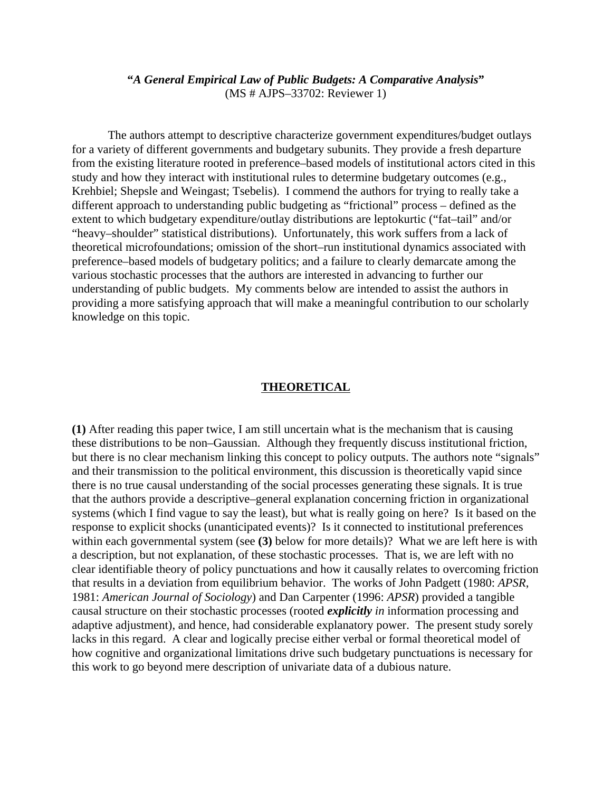## **"***A General Empirical Law of Public Budgets: A Comparative Analysis***"** (MS # AJPS–33702: Reviewer 1)

The authors attempt to descriptive characterize government expenditures/budget outlays for a variety of different governments and budgetary subunits. They provide a fresh departure from the existing literature rooted in preference–based models of institutional actors cited in this study and how they interact with institutional rules to determine budgetary outcomes (e.g., Krehbiel; Shepsle and Weingast; Tsebelis). I commend the authors for trying to really take a different approach to understanding public budgeting as "frictional" process – defined as the extent to which budgetary expenditure/outlay distributions are leptokurtic ("fat–tail" and/or "heavy–shoulder" statistical distributions). Unfortunately, this work suffers from a lack of theoretical microfoundations; omission of the short–run institutional dynamics associated with preference–based models of budgetary politics; and a failure to clearly demarcate among the various stochastic processes that the authors are interested in advancing to further our understanding of public budgets. My comments below are intended to assist the authors in providing a more satisfying approach that will make a meaningful contribution to our scholarly knowledge on this topic.

## **THEORETICAL**

**(1)** After reading this paper twice, I am still uncertain what is the mechanism that is causing these distributions to be non–Gaussian. Although they frequently discuss institutional friction, but there is no clear mechanism linking this concept to policy outputs. The authors note "signals" and their transmission to the political environment, this discussion is theoretically vapid since there is no true causal understanding of the social processes generating these signals. It is true that the authors provide a descriptive–general explanation concerning friction in organizational systems (which I find vague to say the least), but what is really going on here? Is it based on the response to explicit shocks (unanticipated events)? Is it connected to institutional preferences within each governmental system (see **(3)** below for more details)? What we are left here is with a description, but not explanation, of these stochastic processes. That is, we are left with no clear identifiable theory of policy punctuations and how it causally relates to overcoming friction that results in a deviation from equilibrium behavior. The works of John Padgett (1980: *APSR*, 1981: *American Journal of Sociology*) and Dan Carpenter (1996: *APSR*) provided a tangible causal structure on their stochastic processes (rooted *explicitly in* information processing and adaptive adjustment), and hence, had considerable explanatory power. The present study sorely lacks in this regard. A clear and logically precise either verbal or formal theoretical model of how cognitive and organizational limitations drive such budgetary punctuations is necessary for this work to go beyond mere description of univariate data of a dubious nature.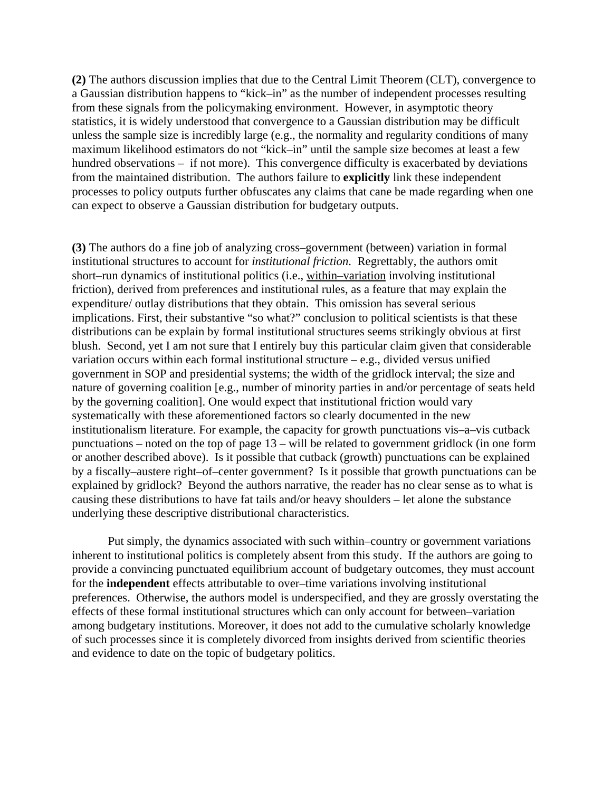**(2)** The authors discussion implies that due to the Central Limit Theorem (CLT), convergence to a Gaussian distribution happens to "kick–in" as the number of independent processes resulting from these signals from the policymaking environment. However, in asymptotic theory statistics, it is widely understood that convergence to a Gaussian distribution may be difficult unless the sample size is incredibly large (e.g., the normality and regularity conditions of many maximum likelihood estimators do not "kick–in" until the sample size becomes at least a few hundred observations – if not more). This convergence difficulty is exacerbated by deviations from the maintained distribution. The authors failure to **explicitly** link these independent processes to policy outputs further obfuscates any claims that cane be made regarding when one can expect to observe a Gaussian distribution for budgetary outputs.

**(3)** The authors do a fine job of analyzing cross–government (between) variation in formal institutional structures to account for *institutional friction*. Regrettably, the authors omit short–run dynamics of institutional politics (i.e., within–variation involving institutional friction), derived from preferences and institutional rules, as a feature that may explain the expenditure/ outlay distributions that they obtain. This omission has several serious implications. First, their substantive "so what?" conclusion to political scientists is that these distributions can be explain by formal institutional structures seems strikingly obvious at first blush. Second, yet I am not sure that I entirely buy this particular claim given that considerable variation occurs within each formal institutional structure – e.g., divided versus unified government in SOP and presidential systems; the width of the gridlock interval; the size and nature of governing coalition [e.g., number of minority parties in and/or percentage of seats held by the governing coalition]. One would expect that institutional friction would vary systematically with these aforementioned factors so clearly documented in the new institutionalism literature. For example, the capacity for growth punctuations vis–a–vis cutback punctuations – noted on the top of page 13 – will be related to government gridlock (in one form or another described above). Is it possible that cutback (growth) punctuations can be explained by a fiscally–austere right–of–center government? Is it possible that growth punctuations can be explained by gridlock? Beyond the authors narrative, the reader has no clear sense as to what is causing these distributions to have fat tails and/or heavy shoulders – let alone the substance underlying these descriptive distributional characteristics.

Put simply, the dynamics associated with such within–country or government variations inherent to institutional politics is completely absent from this study. If the authors are going to provide a convincing punctuated equilibrium account of budgetary outcomes, they must account for the **independent** effects attributable to over–time variations involving institutional preferences. Otherwise, the authors model is underspecified, and they are grossly overstating the effects of these formal institutional structures which can only account for between–variation among budgetary institutions. Moreover, it does not add to the cumulative scholarly knowledge of such processes since it is completely divorced from insights derived from scientific theories and evidence to date on the topic of budgetary politics.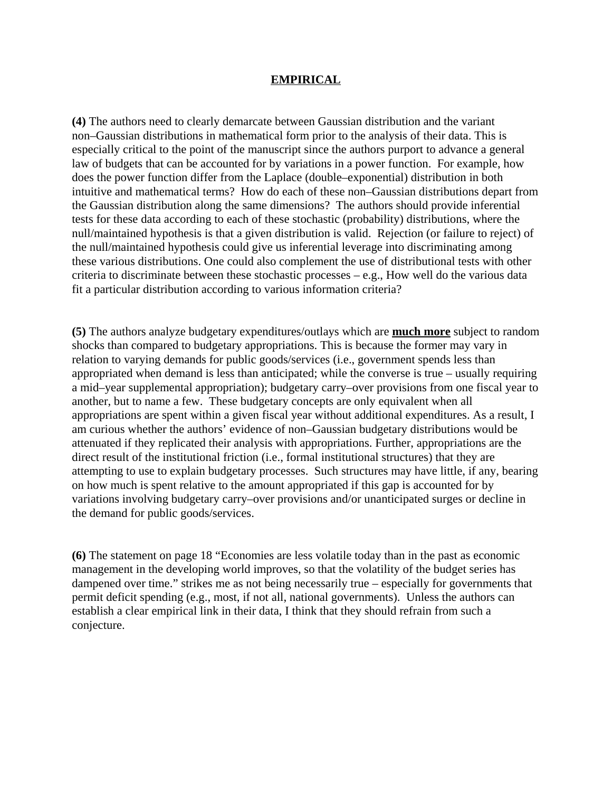## **EMPIRICAL**

**(4)** The authors need to clearly demarcate between Gaussian distribution and the variant non–Gaussian distributions in mathematical form prior to the analysis of their data. This is especially critical to the point of the manuscript since the authors purport to advance a general law of budgets that can be accounted for by variations in a power function. For example, how does the power function differ from the Laplace (double–exponential) distribution in both intuitive and mathematical terms? How do each of these non–Gaussian distributions depart from the Gaussian distribution along the same dimensions? The authors should provide inferential tests for these data according to each of these stochastic (probability) distributions, where the null/maintained hypothesis is that a given distribution is valid. Rejection (or failure to reject) of the null/maintained hypothesis could give us inferential leverage into discriminating among these various distributions. One could also complement the use of distributional tests with other criteria to discriminate between these stochastic processes – e.g., How well do the various data fit a particular distribution according to various information criteria?

**(5)** The authors analyze budgetary expenditures/outlays which are **much more** subject to random shocks than compared to budgetary appropriations. This is because the former may vary in relation to varying demands for public goods/services (i.e., government spends less than appropriated when demand is less than anticipated; while the converse is true – usually requiring a mid–year supplemental appropriation); budgetary carry–over provisions from one fiscal year to another, but to name a few. These budgetary concepts are only equivalent when all appropriations are spent within a given fiscal year without additional expenditures. As a result, I am curious whether the authors' evidence of non–Gaussian budgetary distributions would be attenuated if they replicated their analysis with appropriations. Further, appropriations are the direct result of the institutional friction (i.e., formal institutional structures) that they are attempting to use to explain budgetary processes. Such structures may have little, if any, bearing on how much is spent relative to the amount appropriated if this gap is accounted for by variations involving budgetary carry–over provisions and/or unanticipated surges or decline in the demand for public goods/services.

**(6)** The statement on page 18 "Economies are less volatile today than in the past as economic management in the developing world improves, so that the volatility of the budget series has dampened over time." strikes me as not being necessarily true – especially for governments that permit deficit spending (e.g., most, if not all, national governments). Unless the authors can establish a clear empirical link in their data, I think that they should refrain from such a conjecture.